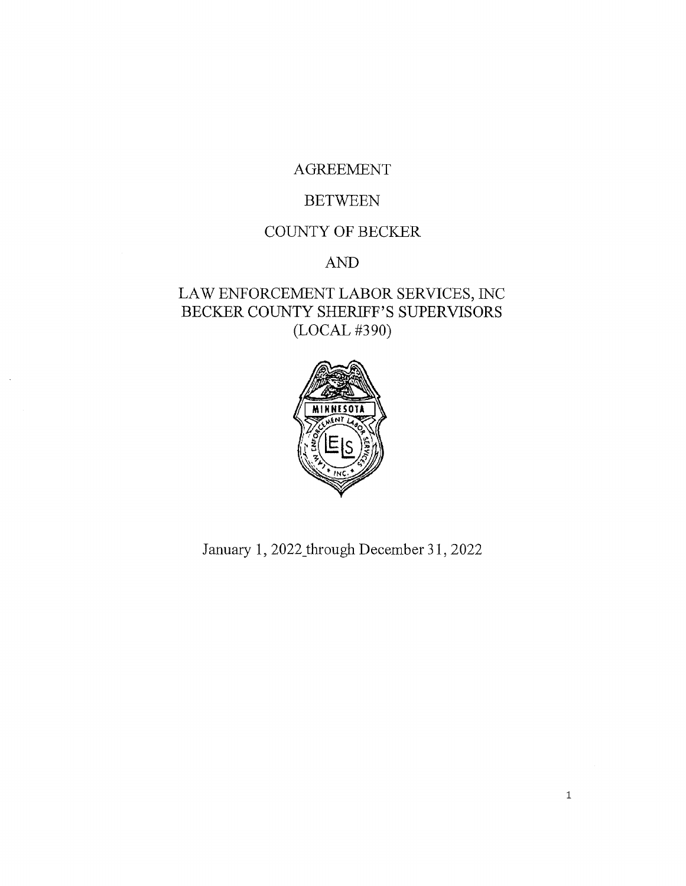## AGREEMENT

## **BETWEEN**

# COUNTY OF BECKER

# AND

# LAW ENFORCEMENT LABOR SERVICES, INC BECKER COUNTY SHERIFF'S SUPERVISORS (LOCAL #390)



January 1, 2022\_through December 31, 2022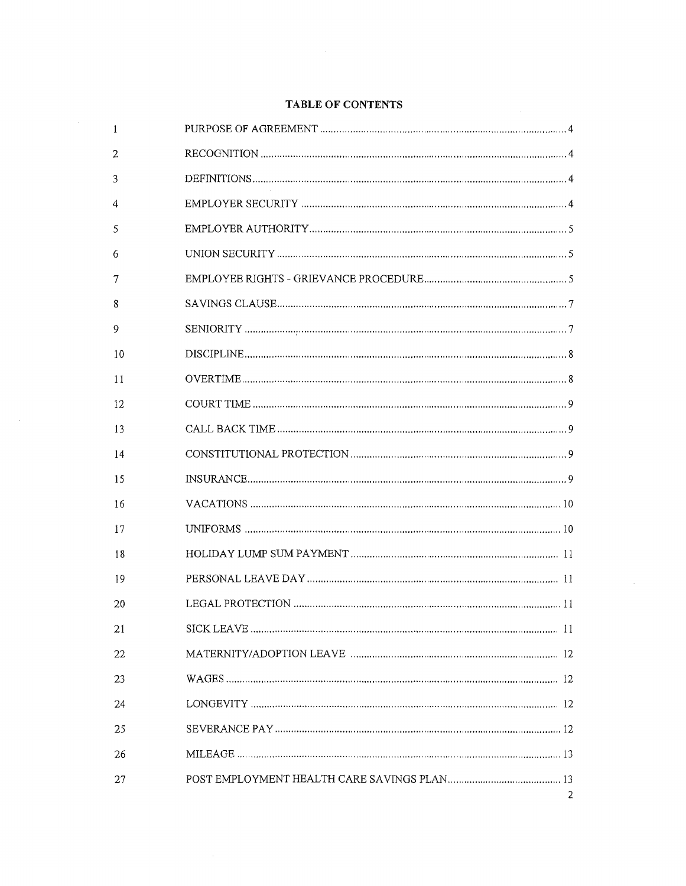| 1  |                |
|----|----------------|
| 2  |                |
| 3  |                |
| 4  |                |
| 5  |                |
| 6  |                |
| 7  |                |
| 8  |                |
| 9  |                |
| 10 |                |
| 11 |                |
| 12 |                |
| 13 |                |
| 14 |                |
| 15 |                |
| 16 |                |
| 17 |                |
| 18 |                |
| 19 |                |
| 20 |                |
| 21 |                |
| 22 |                |
| 23 |                |
| 24 |                |
| 25 |                |
| 26 |                |
| 27 | $\overline{2}$ |

 $\sim$   $\sim$ 

### TABLE OF CONTENTS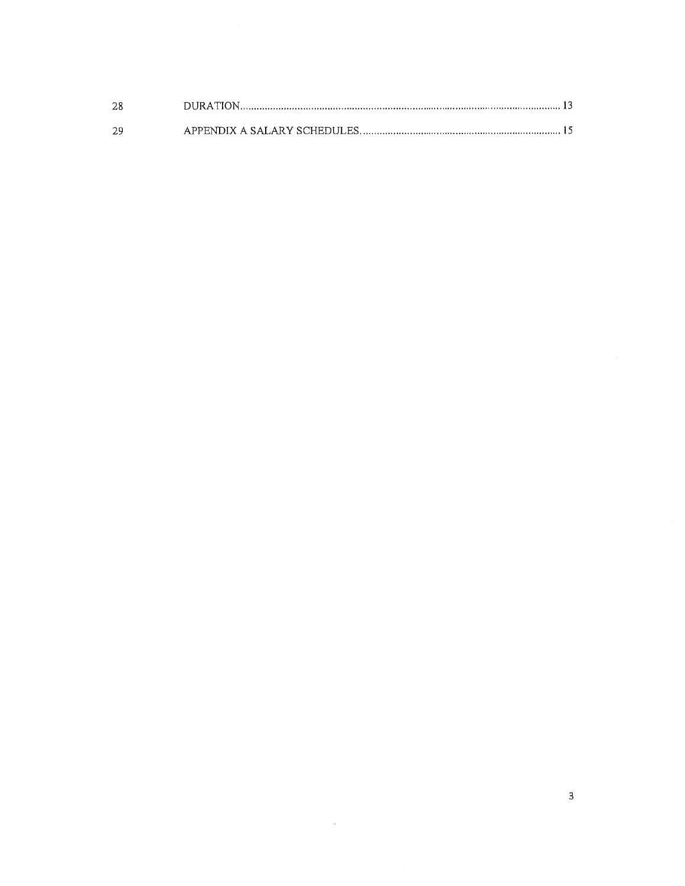| -28 |  |
|-----|--|
| 29  |  |

 $\hat{\mathcal{A}}$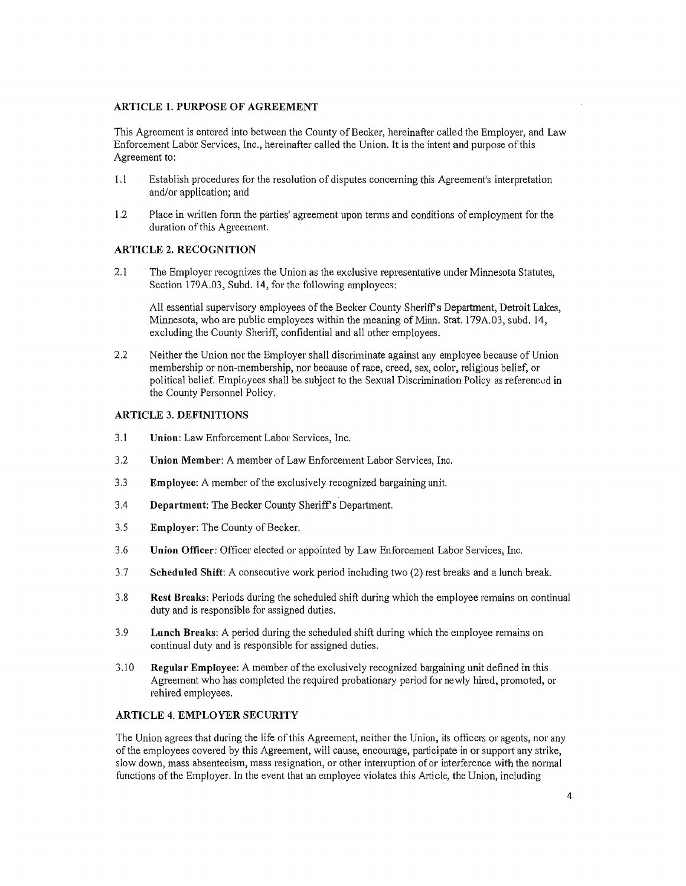#### **ARTICLE 1. PURPOSE OF AGREEMENT**

This Agreement is entered into between the County of Becker, hereinafter called the Employer, and Law Enforcement Labor Services, Inc., hereinafter called the Union. It is the intent and purpose of this Agreement to:

- 1.1 Establish procedures for the resolution of disputes concerning this Agreement's interpretation and/or application; and
- 1.2 Place in written form the parties' agreement upon terms and conditions of employment for the duration of this Agreement.

#### **ARTICLE 2. RECOGNITION**

2.1 The Employer recognizes the Union as the exclusive representative under Minnesota Statutes, Section 179A.03, Subd. 14, for the following employees:

All essential supervisory employees of the Becker County Sheriffs Department, Detroit Lakes, Minnesota, who are public employees within the meaning of Minn. Stat. l 79A.03, subd. 14, excluding the County Sheriff, confidential and all other employees.

2.2 Neither the Union nor the Employer shall discriminate against any employee because of Union membership or non-membership, nor because of race, creed, sex, color, religious belief, or political belief. Employees shall be subject to the Sexual Discrimination Policy as referenced in the County Personnel Policy.

#### **ARTICLE 3. DEFINITIONS**

- 3.1 **Union:** Law Enforcement Labor Services, Inc.
- 3.2 **Union Member:** A member of Law Enforcement Labor Services, Inc.
- 3.3 **Employee:** A member of the exclusively recognized bargaining unit.
- 3.4 **Department:** The Becker County Sheriff's Department.
- 3.5 **Employer:** The County of Becker.
- 3.6 **Union Officer:** Officer elected or appointed by Law Enforcement Labor Services, Inc.
- 3.7 **Scheduled Shift:** A consecutive work period including two (2) rest breaks and a lunch break.
- 3.8 **Rest Breaks:** Periods during the scheduled shift during which the employee remains on continual duty and is responsible for assigned duties.
- 3.9 **Lunch Breaks:** A period during the scheduled shift during which the employee remains on continual duty and is responsible for assigned duties.
- 3.10 **Regular Employee:** A member of the exclusively recognized bargaining unit defined in this Agreement who has completed the required probationary period for newly hired, promoted, or rehired employees.

#### **ARTICLE 4. EMPLOYER SECURITY**

The Union agrees that during the life of this Agreement, neither the Union, its officers or agents, nor any of the employees covered by this Agreement, will cause, encourage, participate in or support any strike, slow down, mass absenteeism, mass resignation, or other interruption of or interference with the normal functions of the Employer. In the event that an employee violates this Article, the Union, including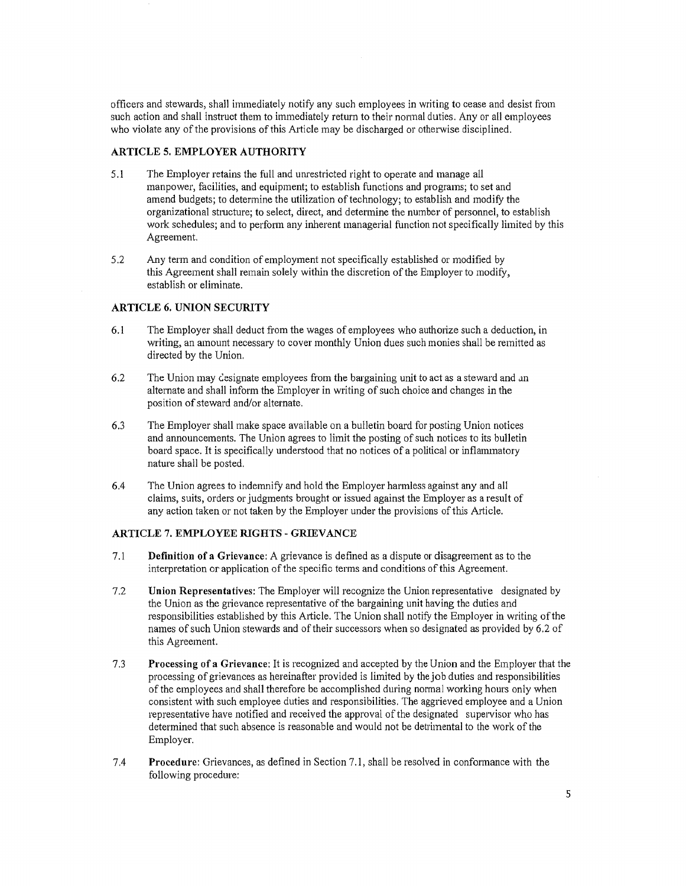officers and stewards, shall inunediately notify any such employees in writing to cease and desist from such action and shall instruct them to immediately return to their normal duties. Any or all employees who violate any of the provisions of this Article may be discharged or otherwise disciplined.

#### **ARTICLE 5, EMPLOYER AUTHORITY**

- 5 .1 The Employer retains the full and unrestricted right to operate and manage all manpower, facilities, and equipment; to establish functions and programs; to set and amend budgets; to determine the utilization of technology; to establish and modify the organizational structure; to select, direct, and determine the number of personnel, to establish work schedules; and to perform any inherent managerial function not specifically limited by this Agreement.
- 5 .2 Any term and condition of employment not specifically established or modified by this Agreement shall remain solely within the discretion of the Employer to modify, establish or eliminate.

#### **ARTICLE 6. UNION SECURITY**

- 6.1 The Employer shall deduct from the wages of employees who authorize such a deduction, in writing, an amount necessary to cover monthly Union dues such monies shall be remitted as directed by the Union.
- 6.2 The Union may designate employees from the bargaining unit to act as a steward and an alternate and shall inform the Employer in writing of such choice and changes in the position of steward and/or alternate.
- 6.3 The Employer shall make space available on a bulletin board for posting Union notices and announcements. The Union agrees to limit the posting of such notices to its bulletin board space. It is specifically understood that no notices of a political or inflammatory nature shall be posted.
- 6.4 The Union agrees to indemnify and hold the Employer harmless against any and all claims, suits, orders or judgments brought or issued against the Employer as a result of any action taken or not taken by the Employer under the provisions of this Article.

#### **ARTICLE 7. EMPLOYEE RIGHTS - GRIEVANCE**

- 7.1 **Definition of a Grievance:** A grievance is defined as a dispute or disagreement as to the interpretation or application of the specific terms and conditions ofthis Agreement.
- 7.2 **Union Representatives:** The Employer will recognize the Union representative designated by the Union as the grievance representative of the bargaining unit having the duties and responsibilities established by this Article. The Union shall notify the Employer in writing of the names of such Union stewards and of their successors when so designated as provided by 6.2 of this Agreement.
- 7.3 **Processing of a Grievance:** It is recognized and accepted by the Union and the Employer that the processing of grievances as hereinafter provided is limited by the job duties and responsibilities of the employees and shall therefore be accomplished during normal working hours only when consistent with such employee duties and responsibilities. The aggrieved employee and a Union representative have notified and received the approval of the designated supervisor who has determined that such absence is reasonable and would not be detrimental to the work of the Employer.
- 7.4 **Procedure:** Grievances, as defined in Section 7.1, shall be resolved in conformance with the following procedure: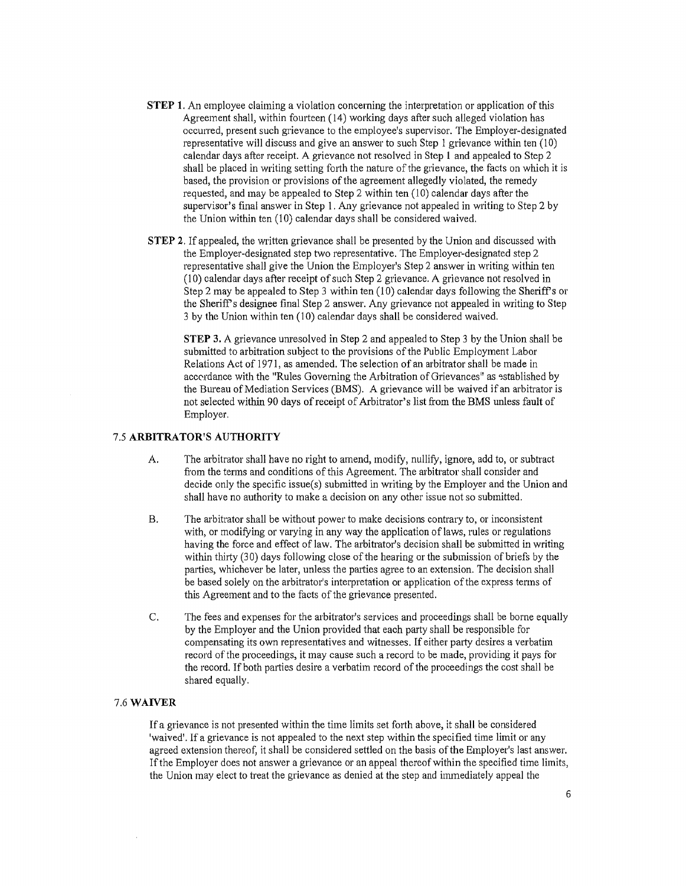- **STEP 1.** An employee claiming a violation concerning the interpretation or application of this Agreement shall, within fourteen ( 14) working days after such alleged violation has occurred, present such grievance to the employee's supervisor. The Employer-designated representative will discuss and give an answer to such Step 1 grievance within ten (10) calendar days after receipt. A grievance not resolved in Step **1** and appealed to Step 2 shall be placed in writing setting forth the nature of the grievance, the facts on which it is based, the provision or provisions of the agreement allegedly violated, the remedy requested, and may be appealed to Step 2 within ten (10) calendar days after the supervisor's final answer in Step 1. Any grievance not appealed in writing to Step 2 by the Union within ten (10) calendar days shall be considered waived.
- **STEP 2.** If appealed, the written grievance shall be presented by the Union and discussed with the Employer-designated step two representative. The Employer-designated step 2 representative shall give the Union the Employer's Step 2 answer in writing within ten (10) calendar days after receipt of such Step 2 grievance. A grievance not resolved in Step 2 may be appealed to Step 3 within ten (10) calendar days following the Sheriff's or the Sheriff's designee final Step 2 answer. Any grievance not appealed in writing to Step 3 by the Union within ten (10) calendar days shall be considered waived.

**STEP** 3. A grievance umesolved in Step 2 and appealed to Step 3 by the Union shall be submitted to arbitration subject to the provisions of the Public Employment Labor Relations Act of 1971, as amended. The selection of an arbitrator shall be made in accordance with the "Rules Governing the Arbitration of Grievances" as established by the Bureau of Mediation Services (BMS). A grievance will be waived if an arbitrator is not selected within 90 days ofreceipt of Arbitrator's list from the BMS unless fault of Employer.

#### 7.5 **ARBITRATOR'S AUTHORITY**

- A. The arbitrator shall have no right to amend, modify, nullify, ignore, add to, or subtract from the terms and conditions of this Agreement. The arbitrator shall consider and decide only the specific issue(s) submitted in writing by the Employer and the Union and shall have no authority to make a decision on any other issue not so submitted.
- B. The arbitrator shall be without power to make decisions contrary to, or inconsistent with, or modifying or varying in any way the application of laws, rules or regulations having the force and effect of law. The arbitrator's decision shall be submitted in writing within thirty (30) days following close of the hearing or the submission of briefs by the parties, whichever be later, unless the parties agree to an extension. The decision shall be based solely on the arbitrator's interpretation or application of the express terms of this Agreement and to the facts of the grievance presented.
- C. The fees and expenses for the arbitrator's services and proceedings shall be borne equally by the Employer and the Union provided that each party shall be responsible for compensating its own representatives and witnesses. If either party desires a verbatim record of the proceedings, it may cause such a record to be made, providing it pays for the record. If both parties desire a verbatim record of the proceedings the cost shall be shared equally.

#### **7.6WAIVER**

If a grievance is not presented within the time limits set forth above, it shall be considered 'waived'. If a grievance is not appealed to the next step within the specified time limit or any agreed extension thereof, it shall be considered settled on the basis of the Employer's last answer. If the Employer does not answer a grievance or an appeal thereof within the specified time limits, the Union may elect to treat the grievance as denied at the step and immediately appeal the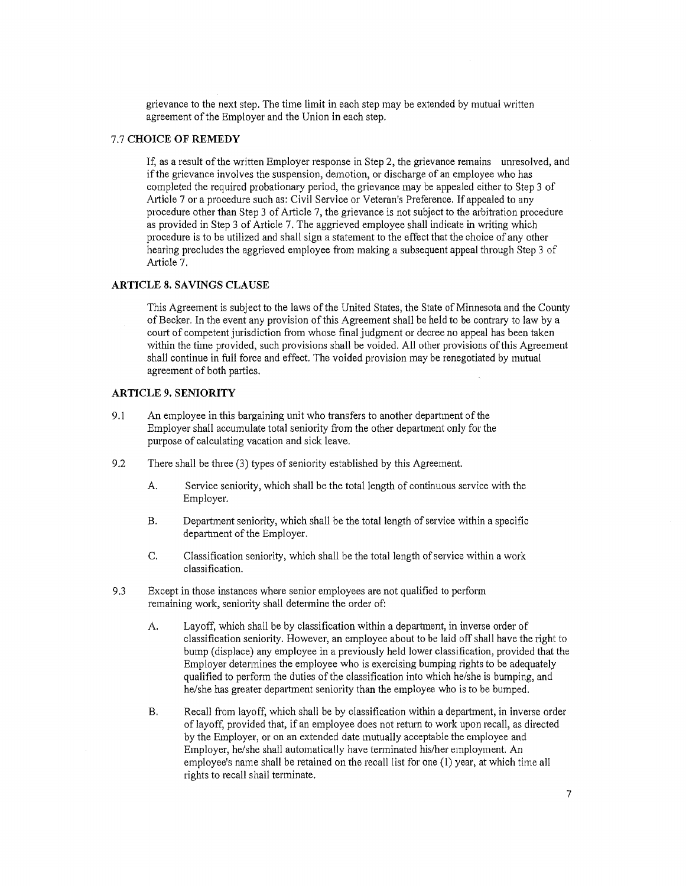grievance to the next step. The time limit in each step may be extended by mutual written agreement of the Employer and the Union in each step.

#### 7.7 **CHOICE OF REMEDY**

If, as a result of the written Employer response in Step 2, the grievance remains unresolved, and if the grievance involves the suspension, demotion, or discharge of an employee who has completed the required probationary period, the grievance may be appealed either to Step 3 of Article 7 or a procedure such as: Civil Service or Veteran's Preference. If appealed to any procedure other than Step 3 of A1ticle 7, the grievance is not subject to the arbitration procedure as provided in Step 3 of Article 7. The aggrieved employee shall indicate in writing which procedure is to be utilized and shall sign a statement to the effect that the choice of any other hearing precludes the aggrieved employee from making a subsequent appeal through Step 3 of Article 7.

#### **ARTICLE 8. SAVINGS CLAUSE**

This Agreement is subject to the laws of the United States, the State of Minnesota and the County of Becker. In the event any provision of this Agreement shall be held to be contrary to law by a court of competent jurisdiction from whose final judgment or decree no appeal has been taken within the time provided, such provisions shall be voided. All other provisions of this Agreement shall continue in full force and effect. The voided provision may be renegotiated by mutual agreement of both parties.

#### **ARTICLE 9. SEN10RITY**

- 9.1 An employee in this bargaining unit who transfers to another department of the Employer shall accumulate total seniority from the other depatiment only for the purpose of calculating vacation and sick leave.
- 9.2 There shall be three (3) types of seniority established by this Agreement.
	- A. Service seniority, which shall be the total length of continuous service with the Employer.
	- B. Department seniority, which shall be the total length of service within a specific department of the Employer.
	- C. Classification seniority, which shall be the total length of service within a work classification.
- 9.3 Except in those instances where senior employees are not qualified to perform remaining work, seniority shall determine the order of:
	- A. Layoff, which shall be by classification within a depatiment, in inverse order of classification seniority. However, an employee about to be laid off shall have the right to bump (displace) any employee in a previously held lower classification, provided that the Employer determines the employee who is exercising bumping rights to be adequately qualified to perform the duties of the classification into which he/she is bumping, and he/she has greater department seniority than the employee who is to be bumped.
	- B. Recall from layoff, which shall be by classification within a department, in inverse order of layoff, provided that, if an employee does not return to work upon recall, as directed by the Employer, or on an extended date mutually acceptable the employee and Employer, he/she shall automatically have terminated his/her employment. An employee's name shall be retained on the recall list for one (1) year, at which time all rights to recall shall terminate.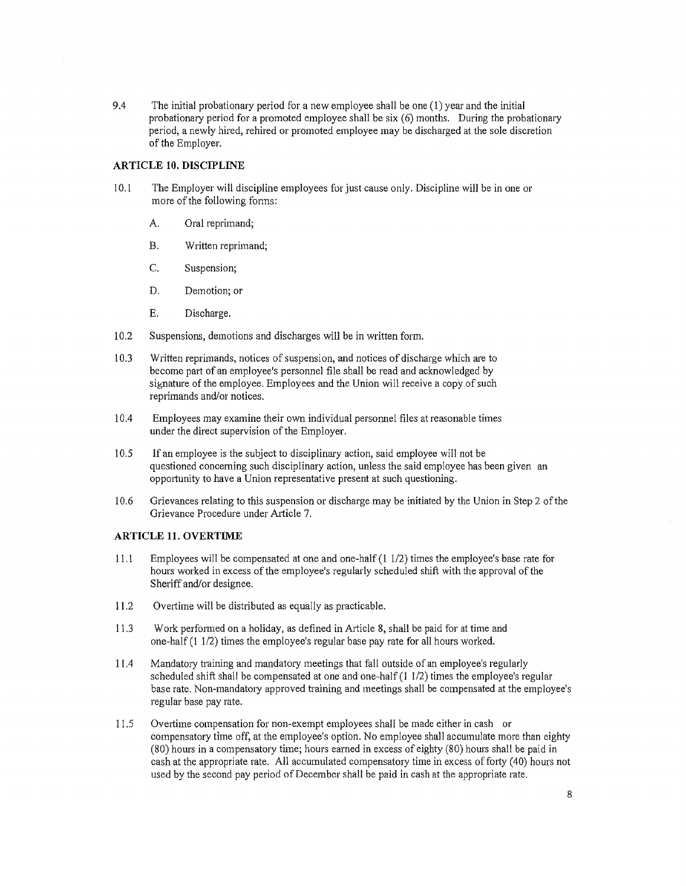9.4 The initial probationary period for a new employee shall be one (1) year and the initial probationary period for a promoted employee shall be six (6) months. During the probationary period, a newly hired, rehired or promoted employee may be discharged at the sole discretion of the Employer.

#### **ARTICLE 10. DISCIPLINE**

- 10.1 The Employer will discipline employees for just cause only. Discipline will be in one or more of the following fonns:
	- A. Oral reprimand;
	- B. Written reprimand;
	- C. Suspension;
	- D. Demotion; or
	- E. Discharge.
- 10.2 Suspensions, demotions and discharges will be in written form.
- 10.3 Written reprimands, notices of suspension, and notices of discharge which are to become part of an employee's personnel file shall be read and acknowledged by signature of the employee. Employees and the Union will receive a copy of such reprimands and/or notices.
- 10.4 Employees may examine their own individual personnel files at reasonable times under the direct supervision of the Employer.
- 10.5 If an employee is the subject to disciplinary action, said employee will not be questioned concerning such disciplinary action, unless the said employee has been given an opportunity to have a Union representative present at such questioning.
- 10.6 Grievances relating to this suspension or discharge may be initiated by the Union in Step 2 of the Grievance Procedure under Article 7.

#### **ARTICLE 11. OVERTIME**

- 11.1 Employees will be compensated at one and one-half (1 1/2) times the employee's base rate for hours worked in excess of the employee's regularly scheduled shift with the approval of the Sheriff and/or designee.
- 11.2 Ovetiime will be distributed as equally as practicable.
- 11.3 Work performed on a holiday, as defined in Article 8, shall be paid for at time and one-half (1 1/2) times the employee's regular base pay rate for all hours worked.
- 11.4 Mandatory training and mandatory meetings that fall outside of an employee's regularly scheduled shift shall be compensated at one and one-half  $(1 1/2)$  times the employee's regular base rate. Non-mandat01y approved training and meetings shall be compensated at the employee's regular base pay rate.
- 11.5 Overtime compensation for non-exempt employees shall be made either in cash or compensatory time off, at the employee's option. No employee shall accumulate more than eighty (80) hours in a compensatory time; hours earned in excess of eighty (80) hours shall be paid in cash at the appropriate rate. All accumulated compensatory time in excess of forty (40) hours not used by the second pay period of December shall be paid in cash at the appropriate rate.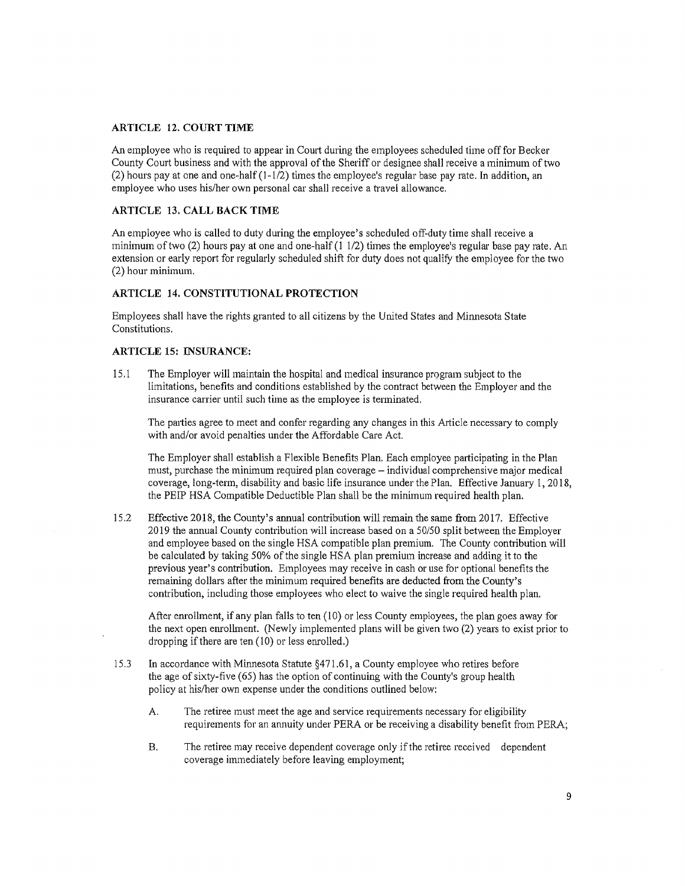#### **ARTICLE 12. COURT TIME**

An employee who is required to appear in Couti during the employees scheduled time off for Becker County Court business and with the approval of the Sheriff or designee shall receive a minimum of two (2) hours pay at one and one-half (1-1/2) times the employee's regular base pay rate. In addition, an employee who uses his/her own personal car shall receive a travel allowance.

#### **ARTICLE 13. CALL BACK TIME**

An employee who is called to duty during the employee's scheduled off-duty time shall receive a minimum of two  $(2)$  hours pay at one and one-half  $(1 1/2)$  times the employee's regular base pay rate. An extension or early report for regularly scheduled shift for duty does not qualify the employee for the two (2) hour minimum.

#### **ARTICLE 14. CONSTITUTIONAL PROTECTION**

Employees shall have the rights granted to all citizens by the United States and Minnesota State Constitutions.

#### **ARTICLE 15: INSURANCE:**

15. 1 The Employer will maintain the hospital and medical insurance program subject to the limitations, benefits and conditions established by the contract between the Employer and the insurance carrier until such time as the employee is terminated.

The parties agree to meet and confer regarding any changes in this Article necessary to comply with and/or avoid penalties under the Affordable Care Act.

The Employer shall establish a Flexible Benefits Plan. Each employee participating in the Plan must, purchase the minimum required plan coverage – individual comprehensive major medical coverage, long-term, disability and basic life insurance under the Plan. Effective January 1, 2018, the PEIP HSA Compatible Deductible Plan shall be the minimum required health plan.

15.2 Effective 2018, the County's annual contribution will remain the same from 2017. Effective 2019 the annual County contribution will increase based on a 50/50 split between the Employer and employee based on the single HSA compatible plan premium. The County contribution will be calculated by taking 50% of the single HSA plan premium increase and adding it to the previous year's contribution. Employees may receive in cash or use for optional benefits the remaining dollars after the minimum required benefits are deducted from the County's contribution, including those employees who elect to waive the single required health plan.

After enrollment, if any plan falls to ten (10) or less County employees, the plan goes away for the next open enrolhnent. (Newly implemented plans will be given two (2) years to exist prior to dropping if there are ten (10) or less enrolled.)

- 15.3 In accordance with Minnesota Statute §471.61, a County employee who retires before the age of sixty-five (65) has the option of continuing with the County's group health policy at his/her own expense under the conditions outlined below:
	- A. The retiree must meet the age and service requirements necessary for eligibility requirements for an annuity under PERA or be receiving a disability benefit from PERA;
	- B. The retiree may receive dependent coverage only if the retiree received dependent coverage immediately before leaving employment;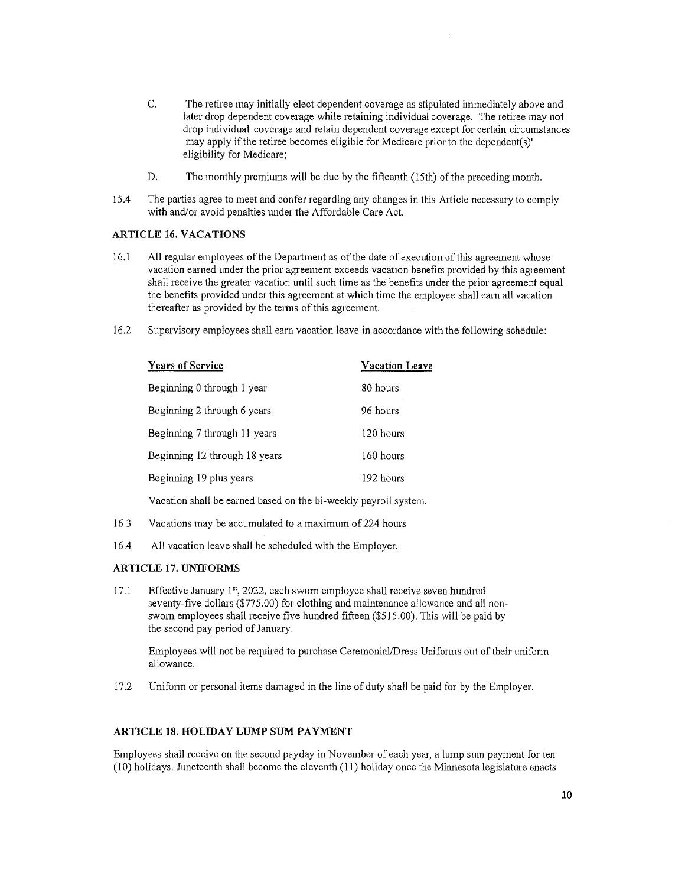- C. The retiree may initially elect dependent coverage as stipulated immediately above and later drop dependent coverage while retaining individual coverage. The retiree may not drop individual coverage and retain dependent coverage except for certain circumstances may apply if the retiree becomes eligible for Medicare prior to the dependent(s)' eligibility for Medicare;
- D. The monthly premiums will be due by the fifteenth (15th) of the preceding month.
- 15.4 The parties agree to meet and confer regarding any changes in this Article necessary to comply with and/or avoid penalties under the Affordable Care Act.

#### **ARTICLE 16. VACATIONS**

- 16.1 All regular employees of the Department as of the date of execution of this agreement whose vacation earned under the prior agreement exceeds vacation benefits provided by this agreement shall receive the greater vacation until such time as the benefits under the prior agreement equal the benefits provided under this agreement at which time the employee shall earn all vacation thereafter as provided by the terms of this agreement.
- 16.2 Supervisory employees shall earn vacation leave in accordance with the following schedule:

| <b>Years of Service</b>       | <b>Vacation Leave</b> |
|-------------------------------|-----------------------|
| Beginning 0 through 1 year    | 80 hours              |
| Beginning 2 through 6 years   | 96 hours              |
| Beginning 7 through 11 years  | 120 hours             |
| Beginning 12 through 18 years | 160 hours             |
| Beginning 19 plus years       | 192 hours             |
|                               |                       |

Vacation shall be earned based on the bi-weekly payroll system.

- 16.3 Vacations may be accumulated to a maximum of 224 hours
- 16.4 All vacation leave shall be scheduled with the Employer.

#### **ARTICLE 17. UNIFORMS**

17.1 Effective January 1st, 2022, each sworn employee shall receive seven hundred seventy-five dollars (\$775.00) for clothing and maintenance allowance and all nonsworn employees shall receive five hundred fifteen (\$515.00). This will be paid by the second pay period of January.

Employees will not be required to purchase Ceremonial/Dress Uniforms out of their uniform allowance.

17.2 Uniform or personal items damaged in the line of duty shall be paid for by the Employer.

#### **ARTICLE 18. HOLIDAY LUMP SUM PAYMENT**

Employees shall receive on the second payday in November of each year, a lump sum payment for ten (10) holidays. Juneteenth shall become the eleventh (11) holiday once the Minnesota legislature enacts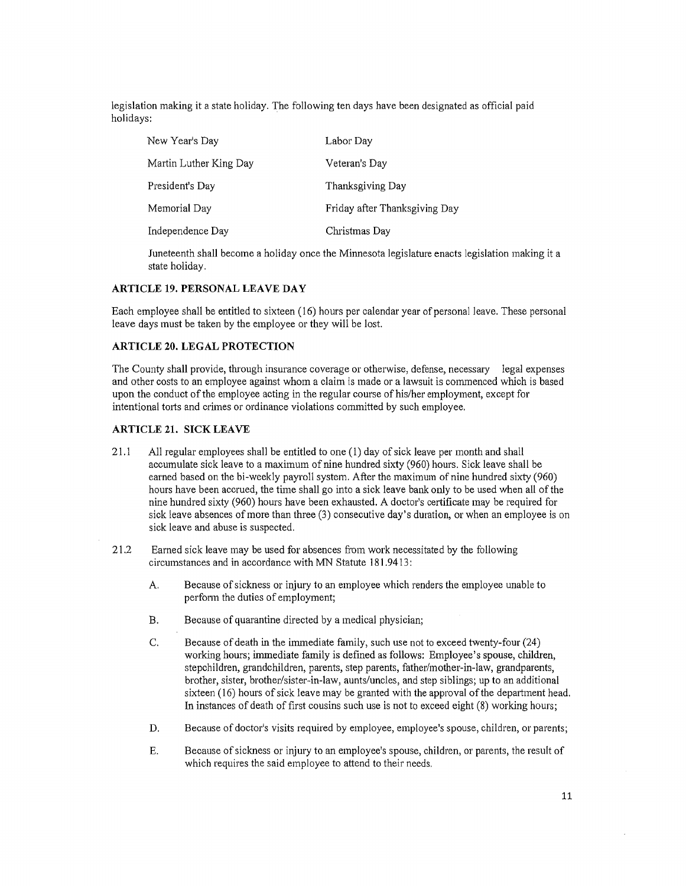legislation making it a state holiday. The following ten days have been designated as official paid holidays:

| New Year's Day         | Labor Day                     |
|------------------------|-------------------------------|
| Martin Luther King Day | Veteran's Day                 |
| President's Day        | Thanksgiving Day              |
| Memorial Day           | Friday after Thanksgiving Day |
| Independence Day       | Christmas Day                 |

Juneteenth shall become a holiday once the Minnesota legislature enacts legislation making it a state holiday.

#### **ARTICLE 19. PERSONAL LEA VE DAY**

Each employee shall be entitled to sixteen ( 16) hours per calendar year of personal leave. These personal leave days must be taken by the employee or they will be lost.

#### **ARTICLE 20. LEGAL PROTECTION**

The County shall provide, through insurance coverage or otherwise, defense, necessary legal expenses and other costs to an employee against whom a claim is made or a lawsuit is commenced which is based upon the conduct of the employee acting in the regular course of his/her employment, except for intentional torts and crimes or ordinance violations committed by such employee.

#### **ARTICLE 21. SICK LEAVE**

- 21.1 All regular employees shall be entitled to one ( 1) day of sick leave per month and shall accumulate sick leave to a maximum of nine hundred sixty (960) hours. Sick leave shall be earned based on the bi-weekly payroll system. After the maximum of nine hundred sixty (960) hours have been accrued, the time shall go into a sick leave bank only to be used when all of the nine hundred sixty (960) hours have been exhausted. A doctor's certificate may be required for sick leave absences of more than three (3) consecutive day's duration, or when an employee is on sick leave and abuse is suspected.
- 21.2 Earned sick leave may be used for absences from work necessitated by the following circumstances and in accordance with MN Statute 181. 9413:
	- A. Because of sickness or injury to an employee which renders the employee unable to perform the duties of employment;
	- B. Because of quarantine directed by a medical physician;
	- C. Because of death in the immediate family, such use not to exceed twenty-four (24) working hours; immediate family is defined as follows: Employee's spouse, children, stepchildren, grandchildren, parents, step parents, father/mother-in-law, grandparents, brother, sister, brother/sister-in-law, aunts/uncles, and step siblings; up to an additional sixteen (16) hours of sick leave may be granted with the approval of the department head. In instances of death of first cousins such use is not to exceed eight (8) working hours;
	- D. Because of doctor's visits required by employee, employee's spouse, children, or parents;
	- E. Because of sickness or injury to an employee's spouse, children, or parents, the result of which requires the said employee to attend to their needs.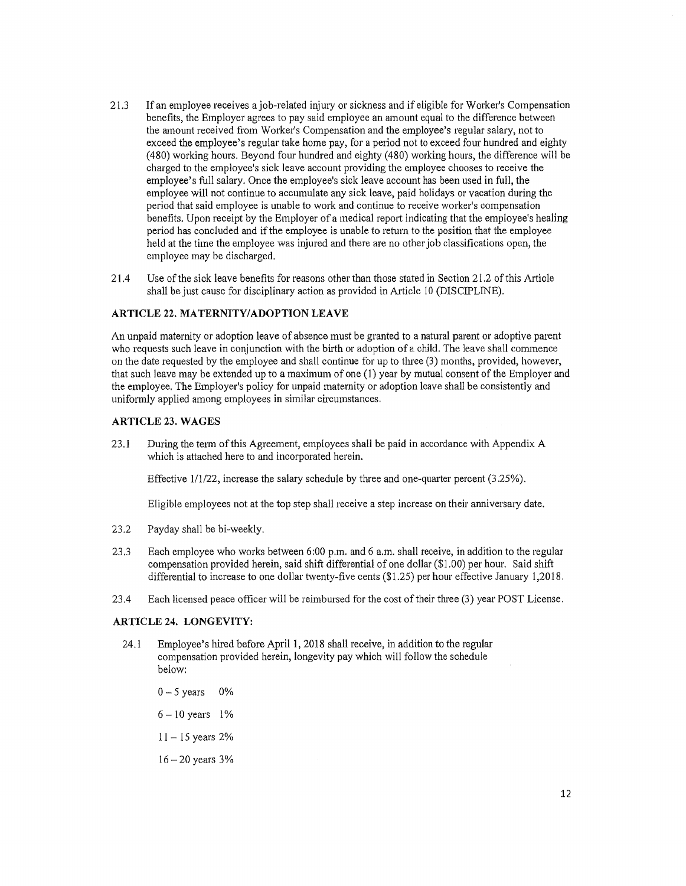- 21.3 If an employee receives a job-related injury or sickness and if eligible for Worker's Compensation benefits, the Employer agrees to pay said employee an amount equal to the difference between the amount received from Worker's Compensation and the employee's regular salary, not to exceed the employee's regular take home pay, for a period not to exceed four hundred and eighty (480) working hours. Beyond four hundred and eighty (480) working hours, the difference will be charged to the employee's sick leave account providing the employee chooses to receive the employee's full salary. Once the employee's sick leave account has been used in full, the employee will not continue to accumulate any sick leave, paid holidays or vacation during the period that said employee is unable to work and continue to receive worker's compensation benefits. Upon receipt by the Employer of a medical report indicating that the employee's healing period has concluded and if the employee is unable to return to the position that the employee held at the time the employee was injured and there are no other job classifications open, the employee may be discharged.
- 21.4 Use of the sick leave benefits for reasons other than those stated in Section 21.2 of this Article shall be just cause for disciplinary action as provided in Article IO (DISCIPLINE).

#### **ARTICLE 22. MATERNITY/ADOPTION LEAVE**

An unpaid maternity or adoption leave of absence must be granted to a natural parent or adoptive parent who requests such leave in conjunction with the birth or adoption ofa child. The leave shall commence on the date requested by the employee and shall continue for up to three (3) months, provided, however, that such leave may be extended up to a maximum of one (I) year by mutual consent of the Employer and the employee. The Employer's policy for unpaid maternity or adoption leave shall be consistently and uniformly applied among employees in similar circumstances.

#### **ARTICLE 23. WAGES**

23.l During the term of this Agreement, employees shall be paid in accordance with Appendix A which is attached here to and incorporated herein.

Effective  $1/1/22$ , increase the salary schedule by three and one-quarter percent  $(3.25\%)$ .

Eligible employees not at the top step shall receive a step increase on their anniversary date.

- 23.2 Payday shall be bi-weekly.
- 23.3 Each employee who works between 6:00 p.m. and 6 a.m. shall receive, in addition to the regular compensation provided herein, said shift differential of one dollar (\$1.00) per hour. Said shift differential to increase to one dollar twenty-five cents (\$1.25) per hour effective January 1,2018.
- 23 .4 Each licensed peace officer will be reimbursed for the cost of their three (3) year POST License.

#### **ARTICLE 24. LONGEVITY:**

- 24. l Employee's hired before April **1,** 2018 shall receive, in addition to the regular compensation provided herein, longevity pay which will follow the schedule below:
	- $0-5$  years  $0\%$  $6 - 10$  years 1%
	- $11 15$  years  $2%$
	- $16 20$  years  $3%$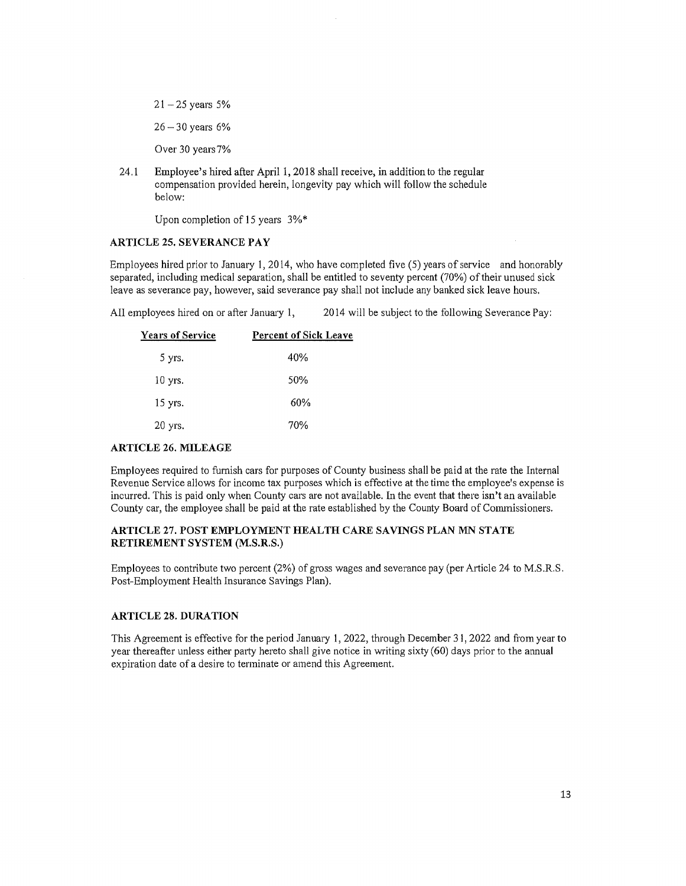$21 - 25$  years 5%

 $26 - 30$  years 6%

Over 30 years7%

24.1 Employee's hired after April 1, 2018 shall receive, in addition to the regular compensation provided herein, longevity pay which will follow the schedule below:

Upon completion of 15 years 3%\*

#### **ARTICLE 25. SEVERANCE PAY**

Employees hired prior to January 1, 2014, who have completed five (5) years of service and honorably separated, including medical separation, shall be entitled to seventy percent (70%) of their unused sick leave as severance pay, however, said severance pay shall not include any banked sick leave hours.

All employees hired on or after January 1, 2014 will be subject to the following Severance Pay:

| <b>Years of Service</b> | <b>Percent of Sick Leave</b> |
|-------------------------|------------------------------|
| 5 yrs.                  | 40%                          |
| $10$ yrs.               | 50%                          |
| 15 yrs.                 | 60%                          |
| 20 yrs.                 | 70%                          |

#### **ARTICLE 26. MILEAGE**

Employees required to furnish cars for purposes of County business shall be paid at the rate the Internal Revenue Service allows for income tax purposes which is effective at the time the employee's expense is incurred. This is paid only when County cars are not available. In the event that there isn't an available County car, the employee shall be paid at the rate established by the County Board of Commissioners.

#### **ARTICLE 27, POST EMPLOYMENT HEALTH CARE SAVINGS PLAN MN STATE RETIREMENT SYSTEM (M.S.R.S.)**

Employees to contribute two percent (2%) of gross wages and severance pay (per Article 24 to M.S.R.S. Post-Employment Health Insurance Savings Plan).

#### **ARTICLE 28. DURATION**

This Agreement is effective for the period January 1, 2022, through December 31, 2022 and from year to year thereafter unless either party hereto shall give notice in writing sixty (60) days prior to the annual expiration date of a desire to terminate or amend this Agreement.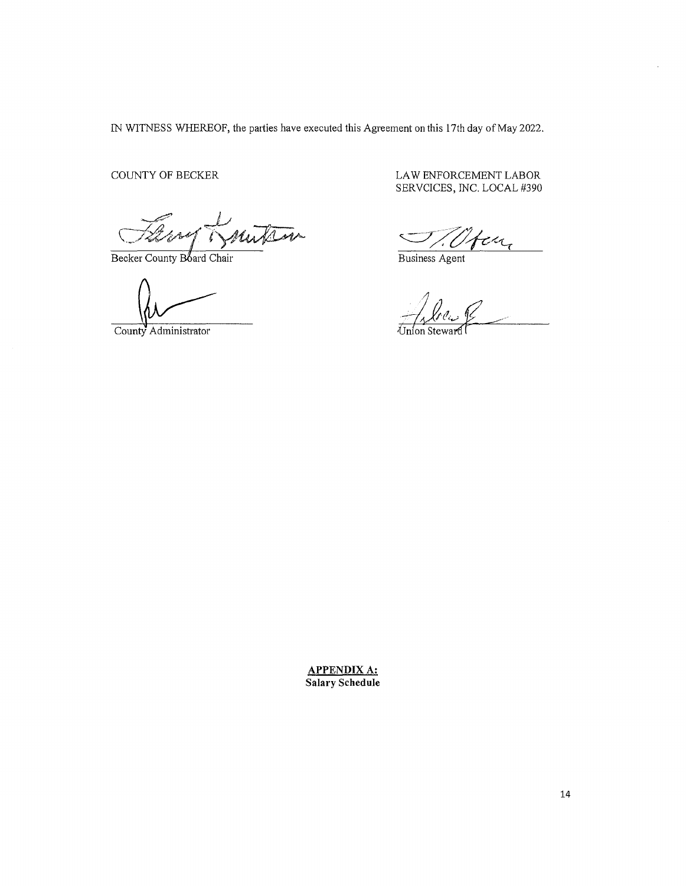IN WITNESS WHEREOF, the parties have executed this Agreement on this 17th day of May 2022.

COUNTY OF BECKER

 $\overline{\mathscr{A}}$ Mu

Becker County Board Chair

County Administrator

LAW ENFORCEMENT LABOR SERVCICES, INC. LOCAL #390

en,

Business Agent

**APPENDIX A: Salary Schedule**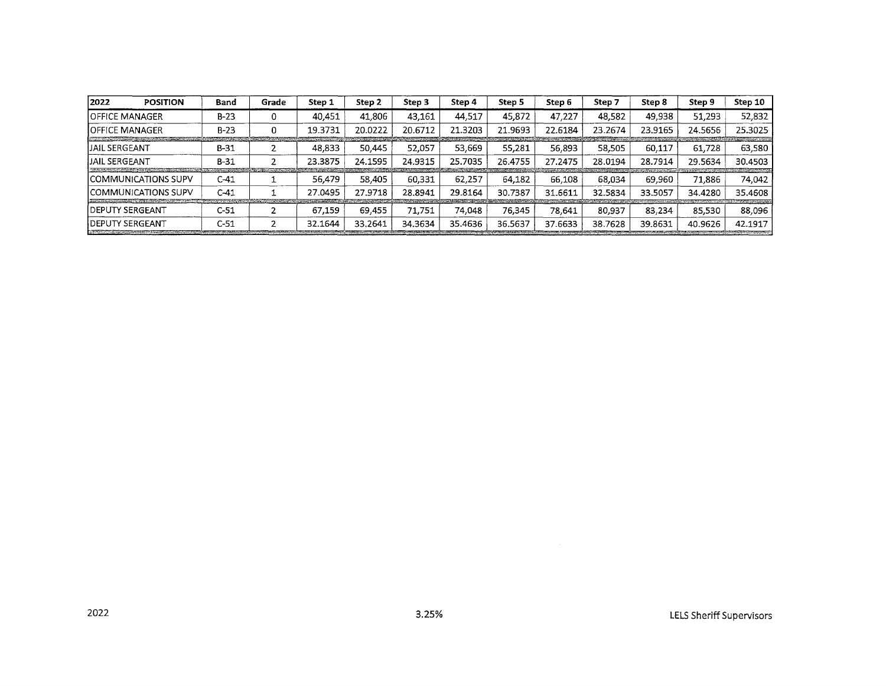| 2022<br><b>POSITION</b>                                                                                                                                                                                                                                 | Band     | Grade | Step 1                                  | Step 2  | Step 3                                         | Step 4  | Step 5  | Step 6  | Step 7  | Step 8                                 | Step 9  | Step 10                                             |
|---------------------------------------------------------------------------------------------------------------------------------------------------------------------------------------------------------------------------------------------------------|----------|-------|-----------------------------------------|---------|------------------------------------------------|---------|---------|---------|---------|----------------------------------------|---------|-----------------------------------------------------|
| <b>JOFFICE MANAGER</b>                                                                                                                                                                                                                                  | $B-23$   | 0     | 40.451                                  | 41.806  | 43.161                                         | 44,517  | 45.872  | 47.227  | 48.582  | 49,938                                 | 51,293  | 52,832                                              |
| <b>IOFFICE MANAGER</b><br>the control of the control of the control of the control of the control of the control of the control of the control of the control of the control of the control of the control of the control of the control of the control | $B-23$   | 0     | 19.3731                                 | 20.0222 | 20.6712                                        | 21.3203 | 21.9693 | 22.6184 | 23.2674 | 23.9165                                | 24.5656 | 25.3025                                             |
| IJAIL SERGEANT                                                                                                                                                                                                                                          | $B-31$   |       | 48.833                                  | 50.445  | 52.057                                         | 53.669  | 55.281  | 56.893  | 58,505  | 60.117                                 | 61.728  | <b>Search Street Avenue Street Street</b><br>63,580 |
| IJAIL SERGEANT                                                                                                                                                                                                                                          | $B-31$   |       | 23.3875                                 | 24.1595 | 24.9315                                        | 25.7035 | 26.4755 | 27.2475 | 28.0194 | 28.7914                                | 29.5634 | 30.4503                                             |
| ICOMMUNICATIONS SUPV                                                                                                                                                                                                                                    | C-41     |       | 56.479                                  | 58.405  | 60.331                                         | 62,257  | 64.182  | 66,108  | 68.034  | 69.960                                 | 71.886  | 74,042                                              |
| ICOMMUNICATIONS SUPV<br>the contract of the contract of the contract of the contract of the contract of                                                                                                                                                 | $C - 41$ |       | 27.0495<br><b><i>CAMPAGNAMENTOS</i></b> | 27.9718 | 28.8941<br><b><i><u>SARAHAN MARATA</u></i></b> | 29.8164 | 30.7387 | 31.6611 | 32.5834 | 33.5057<br><b>STATISTICS IN ALL TO</b> | 34.4280 | 35.4608<br><b>SALES AND CARD AT CONSUMING</b>       |
| IDEPUTY SERGEANT                                                                                                                                                                                                                                        | $C-51$   |       | 67.159                                  | 69.455  | 71.751                                         | 74.048  | 76.345  | 78.641  | 80.937  | 83.234                                 | 85.530  | 88,096                                              |
| IDEPUTY SERGEANT                                                                                                                                                                                                                                        | C-51     |       | 32.1644                                 | 33.2641 | 34.3634                                        | 35.4636 | 36.5637 | 37.6633 | 38.7628 | 39.8631                                | 40.9626 | 42.1917                                             |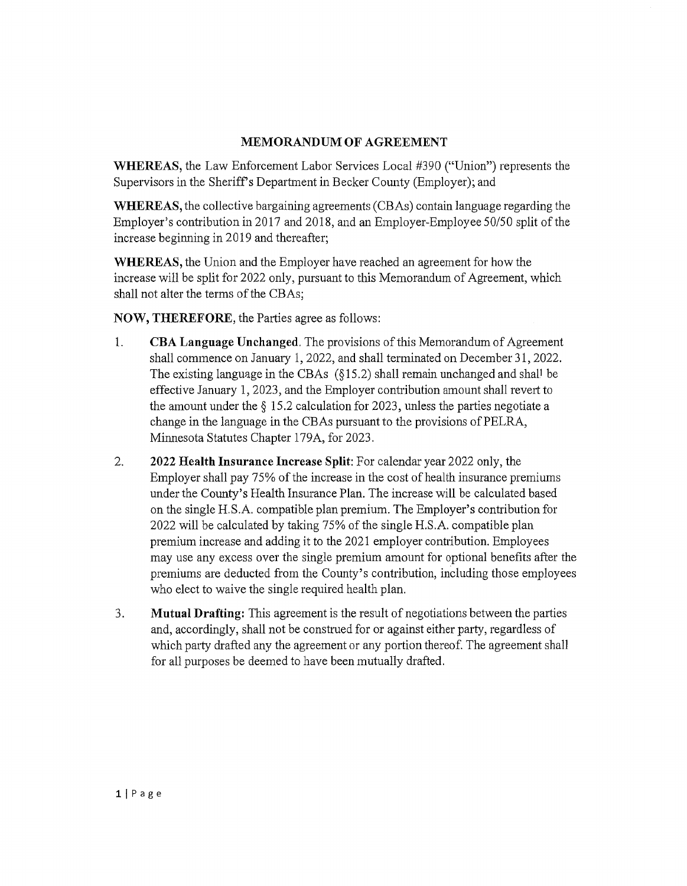### **MEMORANDUM OF AGREEMENT**

**WHEREAS,** the Law Enforcement Labor Services Local #390 ("Union") represents the Supervisors in the Sheriff's Department in Becker County (Employer); and

**WHEREAS,** the collective bargaining agreements (CBAs) contain language regarding the Employer's contribution in 2017 and 2018, and an Employer-Employee 50/50 split of the increase beginning in 2019 and thereafter;

**WHEREAS,** the Union and the Employer have reached an agreement for how the increase will be split for 2022 only, pursuant to this Memorandum of Agreement, which shall not alter the terms of the CBAs;

**NOW, THEREFORE,** the Parties agree as follows:

- 1. **CBA Language Unchanged.** The provisions of this Memorandum of Agreement shall commence on January 1, 2022, and shall terminated on December 31, 2022. The existing language in the CBAs  $(815.2)$  shall remain unchanged and shall be effective January 1, 2023, and the Employer contribution amount shall revert to the amount under the § 15 .2 calculation for 2023, unless the parties negotiate a change in the language in the CBAs pursuant to the provisions of PELRA, Minnesota Statutes Chapter 179A, for 2023.
- 2. **2022 Health Insurance Increase Split:** For calendar year 2022 only, the Employer shall pay 75% of the increase in the cost of health insurance premiums under the County's Health Insurance Plan. The increase will be calculated based on the single H. S .A. compatible plan premium. The Employer's contribution for 2022 will be calculated by taking 75% of the single H.S.A. compatible plan premium increase and adding it to the 2021 employer contribution. Employees may use any excess over the single premium amount for optional benefits after the premiums are deducted from the County's contribution, including those employees who elect to waive the single required health plan.
- 3. **Mutual Drafting:** This agreement is the result of negotiations between the parties and, accordingly, shall not be construed for or against either party, regardless of which party drafted any the agreement or any portion thereof. The agreement shall for all purposes be deemed to have been mutually drafted.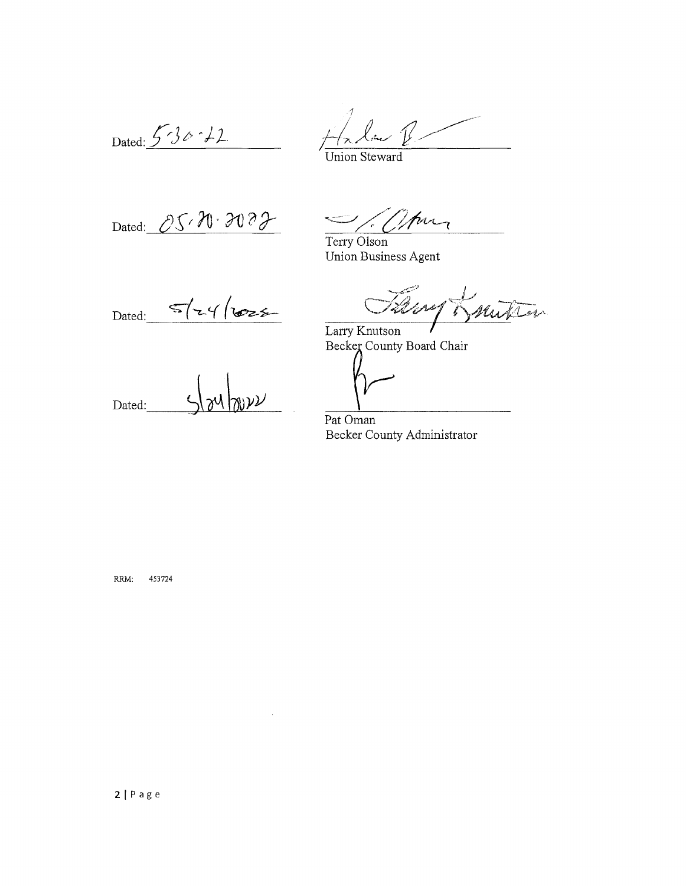Dated:  $536 - 12$ 

 $\mathcal{V}$ 

Jnion Steward

Dated:  $OS \wedge N \cdot 3000$ 

 $\frac{1}{2}$  (//pm

Terry Olson Union Business Agent

 $5/24/622$ Dated:

Veref mitin  $\mathscr{C}$ 

Larry Knutson Becker County Board Chair

 $\nu\nu$ Dated:

Pat Oman Becker County Administrator

RRM: 453724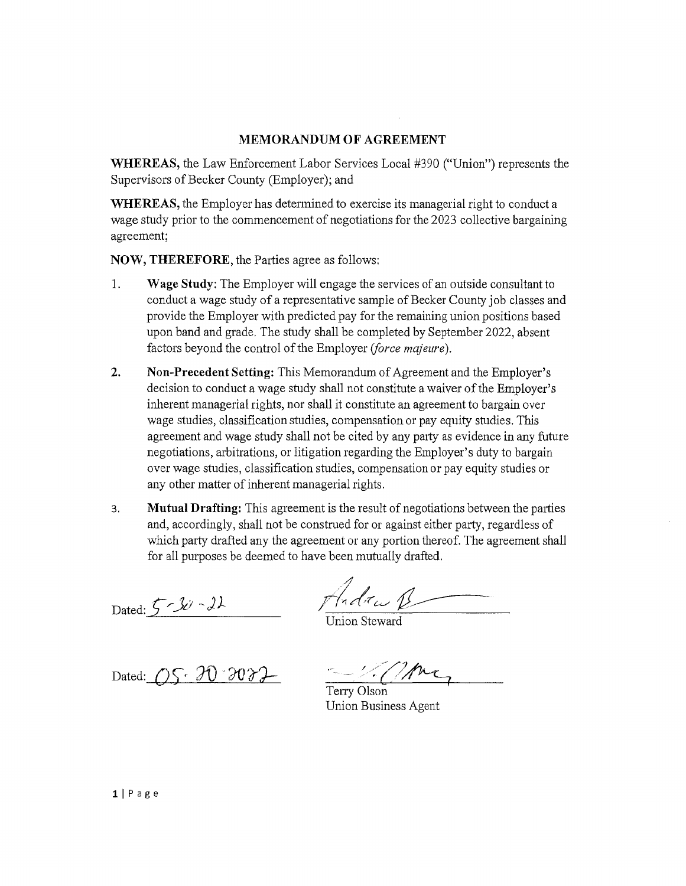### **MEMORANDUM OF AGREEMENT**

**WHEREAS,** the Law Enforcement Labor Services Local #390 ("Union") represents the Supervisors of Becker County (Employer); and

**WHEREAS,** the Employer has determined to exercise its managerial right to conduct a wage study prior to the commencement of negotiations for the 2023 collective bargaining agreement;

**NOW, THEREFORE, the Parties agree as follows:** 

- 1. **Wage Study:** The Employer will engage the services of an outside consultant to conduct a wage study of a representative sample of Becker County job classes and provide the Employer with predicted pay for the remaining union positions based upon band and grade. The study shall be completed by September 2022, absent factors beyond the control of the Employer *(force majeure).*
- **2. Non-Precedent Setting:** This Memorandum of Agreement and the Employer's decision to conduct a wage study shall not constitute a waiver of the Employer's inherent managerial rights, nor shall it constitute an agreement to bargain over wage studies, classification studies, compensation or pay equity studies. This agreement and wage study shall not be cited by any party as evidence in any future negotiations, arbitrations, or litigation regarding the Employer's duty to bargain over wage studies, classification studies, compensation or pay equity studies or any other matter of inherent managerial rights.
- 3. **Mutual Drafting:** This agreement is the result of negotiations between the patiies and, accordingly, shall not be construed for or against either party, regardless of which party drafted any the agreement or any portion thereof. The agreement shall for all purposes be deemed to have been mutually drafted.

Dated: 5-30-22 Andrew R

Union Steward

Dated:  $QS \cdot 30 \cdot 3032$ 

Terry Olson

Union Business Agent